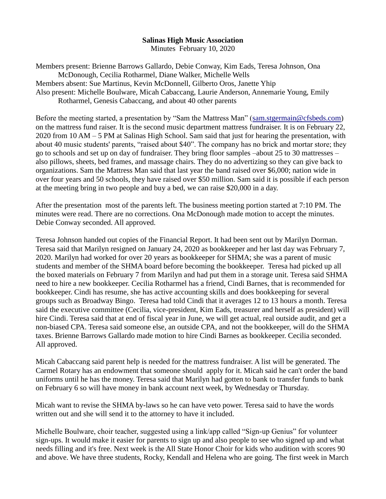## **Salinas High Music Association**

Minutes February 10, 2020

Members present: Brienne Barrows Gallardo, Debie Conway, Kim Eads, Teresa Johnson, Ona McDonough, Cecilia Rotharmel, Diane Walker, Michelle Wells Members absent: Sue Martinus, Kevin McDonnell, Gilberto Oros, Janette Yhip Also present: Michelle Boulware, Micah Cabaccang, Laurie Anderson, Annemarie Young, Emily Rotharmel, Genesis Cabaccang, and about 40 other parents

Before the meeting started, a presentation by "Sam the Mattress Man" [\(sam.stgermain@cfsbeds.com\)](mailto:sam.stgermain@cfsbeds.com) on the mattress fund raiser. It is the second music department mattress fundraiser. It is on February 22, 2020 from 10 AM – 5 PM at Salinas High School. Sam said that just for hearing the presentation, with about 40 music students' parents, "raised about \$40". The company has no brick and mortar store; they go to schools and set up on day of fundraiser. They bring floor samples –about 25 to 30 mattresses – also pillows, sheets, bed frames, and massage chairs. They do no advertizing so they can give back to organizations. Sam the Mattress Man said that last year the band raised over \$6,000; nation wide in over four years and 50 schools, they have raised over \$50 million. Sam said it is possible if each person at the meeting bring in two people and buy a bed, we can raise \$20,000 in a day.

After the presentation most of the parents left. The business meeting portion started at 7:10 PM. The minutes were read. There are no corrections. Ona McDonough made motion to accept the minutes. Debie Conway seconded. All approved.

Teresa Johnson handed out copies of the Financial Report. It had been sent out by Marilyn Dorman. Teresa said that Marilyn resigned on January 24, 2020 as bookkeeper and her last day was February 7, 2020. Marilyn had worked for over 20 years as bookkeeper for SHMA; she was a parent of music students and member of the SHMA board before becoming the bookkeeper. Teresa had picked up all the boxed materials on February 7 from Marilyn and had put them in a storage unit. Teresa said SHMA need to hire a new bookkeeper. Cecilia Rotharmel has a friend, Cindi Barnes, that is recommended for bookkeeper. Cindi has resume, she has active accounting skills and does bookkeeping for several groups such as Broadway Bingo. Teresa had told Cindi that it averages 12 to 13 hours a month. Teresa said the executive committee (Cecilia, vice-president, Kim Eads, treasurer and herself as president) will hire Cindi. Teresa said that at end of fiscal year in June, we will get actual, real outside audit, and get a non-biased CPA. Teresa said someone else, an outside CPA, and not the bookkeeper, will do the SHMA taxes. Brienne Barrows Gallardo made motion to hire Cindi Barnes as bookkeeper. Cecilia seconded. All approved.

Micah Cabaccang said parent help is needed for the mattress fundraiser. A list will be generated. The Carmel Rotary has an endowment that someone should apply for it. Micah said he can't order the band uniforms until he has the money. Teresa said that Marilyn had gotten to bank to transfer funds to bank on February 6 so will have money in bank account next week, by Wednesday or Thursday.

Micah want to revise the SHMA by-laws so he can have veto power. Teresa said to have the words written out and she will send it to the attorney to have it included.

Michelle Boulware, choir teacher, suggested using a link/app called "Sign-up Genius" for volunteer sign-ups. It would make it easier for parents to sign up and also people to see who signed up and what needs filling and it's free. Next week is the All State Honor Choir for kids who audition with scores 90 and above. We have three students, Rocky, Kendall and Helena who are going. The first week in March